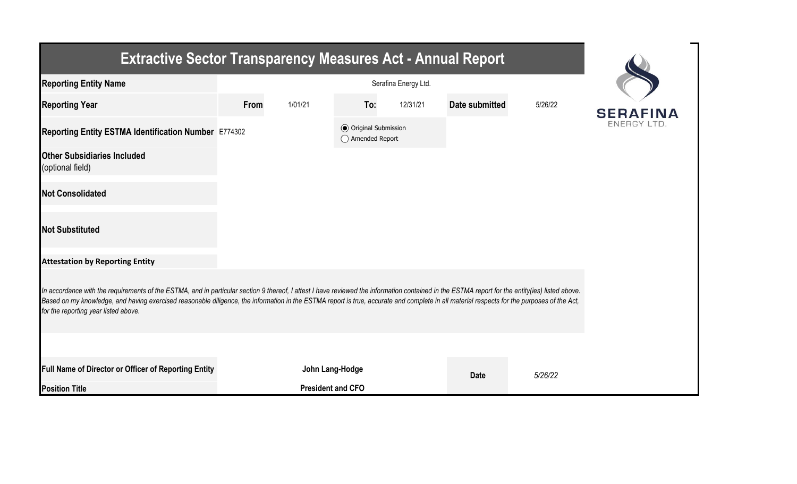| <b>Extractive Sector Transparency Measures Act - Annual Report</b>                                                                                                                                                                                                                                                                                                                                                                    |      |                          |                                                  |          |                |         |                   |  |  |  |
|---------------------------------------------------------------------------------------------------------------------------------------------------------------------------------------------------------------------------------------------------------------------------------------------------------------------------------------------------------------------------------------------------------------------------------------|------|--------------------------|--------------------------------------------------|----------|----------------|---------|-------------------|--|--|--|
| <b>Reporting Entity Name</b>                                                                                                                                                                                                                                                                                                                                                                                                          |      |                          |                                                  |          |                |         |                   |  |  |  |
| <b>Reporting Year</b>                                                                                                                                                                                                                                                                                                                                                                                                                 | From | 1/01/21                  | To:                                              | 12/31/21 | Date submitted | 5/26/22 | <b>SERAFINA</b>   |  |  |  |
| Reporting Entity ESTMA Identification Number E774302                                                                                                                                                                                                                                                                                                                                                                                  |      |                          | <b>◎</b> Original Submission<br>◯ Amended Report |          |                |         | <b>ENERGY LTD</b> |  |  |  |
| <b>Other Subsidiaries Included</b><br>(optional field)                                                                                                                                                                                                                                                                                                                                                                                |      |                          |                                                  |          |                |         |                   |  |  |  |
| <b>Not Consolidated</b>                                                                                                                                                                                                                                                                                                                                                                                                               |      |                          |                                                  |          |                |         |                   |  |  |  |
| <b>Not Substituted</b>                                                                                                                                                                                                                                                                                                                                                                                                                |      |                          |                                                  |          |                |         |                   |  |  |  |
| <b>Attestation by Reporting Entity</b>                                                                                                                                                                                                                                                                                                                                                                                                |      |                          |                                                  |          |                |         |                   |  |  |  |
| In accordance with the requirements of the ESTMA, and in particular section 9 thereof, I attest I have reviewed the information contained in the ESTMA report for the entity(ies) listed above.<br>Based on my knowledge, and having exercised reasonable diligence, the information in the ESTMA report is true, accurate and complete in all material respects for the purposes of the Act,<br>for the reporting year listed above. |      |                          |                                                  |          |                |         |                   |  |  |  |
|                                                                                                                                                                                                                                                                                                                                                                                                                                       |      |                          |                                                  |          |                |         |                   |  |  |  |
| Full Name of Director or Officer of Reporting Entity                                                                                                                                                                                                                                                                                                                                                                                  |      | John Lang-Hodge          |                                                  |          | <b>Date</b>    | 5/26/22 |                   |  |  |  |
| <b>Position Title</b>                                                                                                                                                                                                                                                                                                                                                                                                                 |      | <b>President and CFO</b> |                                                  |          |                |         |                   |  |  |  |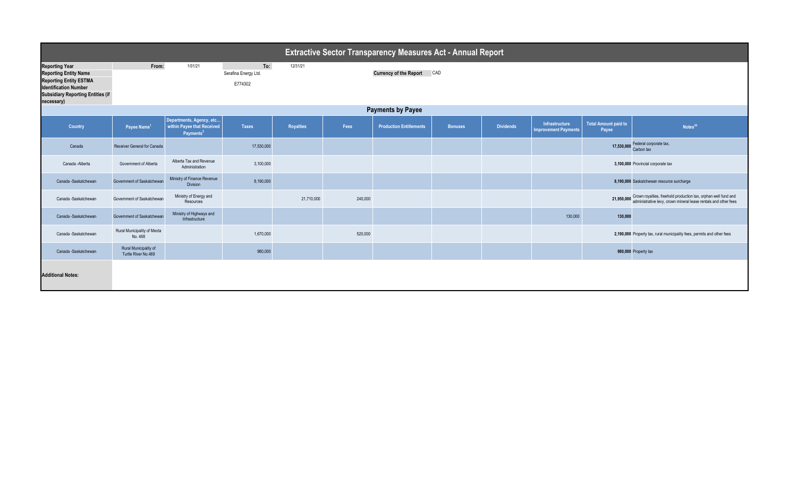| <b>Extractive Sector Transparency Measures Act - Annual Report</b>                                                                                                               |                                              |                                                                                 |                                       |                  |                            |                                |                |                  |                                               |                                      |                                                                                                                                                         |  |
|----------------------------------------------------------------------------------------------------------------------------------------------------------------------------------|----------------------------------------------|---------------------------------------------------------------------------------|---------------------------------------|------------------|----------------------------|--------------------------------|----------------|------------------|-----------------------------------------------|--------------------------------------|---------------------------------------------------------------------------------------------------------------------------------------------------------|--|
| <b>Reporting Year</b><br><b>Reporting Entity Name</b><br><b>Reporting Entity ESTMA</b><br><b>Identification Number</b><br><b>Subsidiary Reporting Entities (if</b><br>necessary) | From:                                        | 1/01/21                                                                         | To:<br>Serafina Energy Ltd<br>E774302 | 12/31/21         | Currency of the Report CAD |                                |                |                  |                                               |                                      |                                                                                                                                                         |  |
|                                                                                                                                                                                  | <b>Payments by Payee</b>                     |                                                                                 |                                       |                  |                            |                                |                |                  |                                               |                                      |                                                                                                                                                         |  |
| Country                                                                                                                                                                          | Payee Name <sup>1</sup>                      | Departments, Agency, etc<br>within Payee that Received<br>Payments <sup>2</sup> | <b>Taxes</b>                          | <b>Royalties</b> | Fees                       | <b>Production Entitlements</b> | <b>Bonuses</b> | <b>Dividends</b> | Infrastructure<br><b>Improvement Payments</b> | <b>Total Amount paid to</b><br>Payee | Notes <sup>34</sup>                                                                                                                                     |  |
| Canada                                                                                                                                                                           | Receiver General for Canada                  |                                                                                 | 17,530,000                            |                  |                            |                                |                |                  |                                               | 17,530,000                           | Federal corporate tax,<br>Carbon tax                                                                                                                    |  |
| Canada -Alberta                                                                                                                                                                  | Government of Alberta                        | Alberta Tax and Revenue<br>Administration                                       | 3,100,000                             |                  |                            |                                |                |                  |                                               |                                      | 3,100,000 Provincial corporate tax                                                                                                                      |  |
| Canada -Saskatchewan                                                                                                                                                             | Government of Saskatchewan                   | Ministry of Finance Revenue<br><b>Division</b>                                  | 8,190,000                             |                  |                            |                                |                |                  |                                               |                                      | 8,190,000 Saskatchewan resource surcharge                                                                                                               |  |
| Canada -Saskatchewan                                                                                                                                                             | Government of Saskatchewan                   | Ministry of Energy and<br>Resources                                             |                                       | 21,710,000       | 240,000                    |                                |                |                  |                                               |                                      | 21,950,000 Crown royalties, freehold production tax, orphan well fund and<br>21,950,000 administrative levy, crown mineral lease rentals and other fees |  |
| Canada -Saskatchewan                                                                                                                                                             | Government of Saskatchewan                   | Ministry of Highways and<br>Infrastructure                                      |                                       |                  |                            |                                |                |                  | 130,000                                       | 130,000                              |                                                                                                                                                         |  |
| Canada -Saskatchewan                                                                                                                                                             | Rural Municipality of Meota<br>No. 468       |                                                                                 | 1,670,000                             |                  | 520,000                    |                                |                |                  |                                               |                                      | 2,190,000 Property tax, rural municipality fees, permits and other fees                                                                                 |  |
| Canada -Saskatchewan                                                                                                                                                             | Rural Municipality of<br>Turtle River No.469 |                                                                                 | 980,000                               |                  |                            |                                |                |                  |                                               |                                      | 980,000 Property tax                                                                                                                                    |  |
| <b>Additional Notes:</b>                                                                                                                                                         |                                              |                                                                                 |                                       |                  |                            |                                |                |                  |                                               |                                      |                                                                                                                                                         |  |